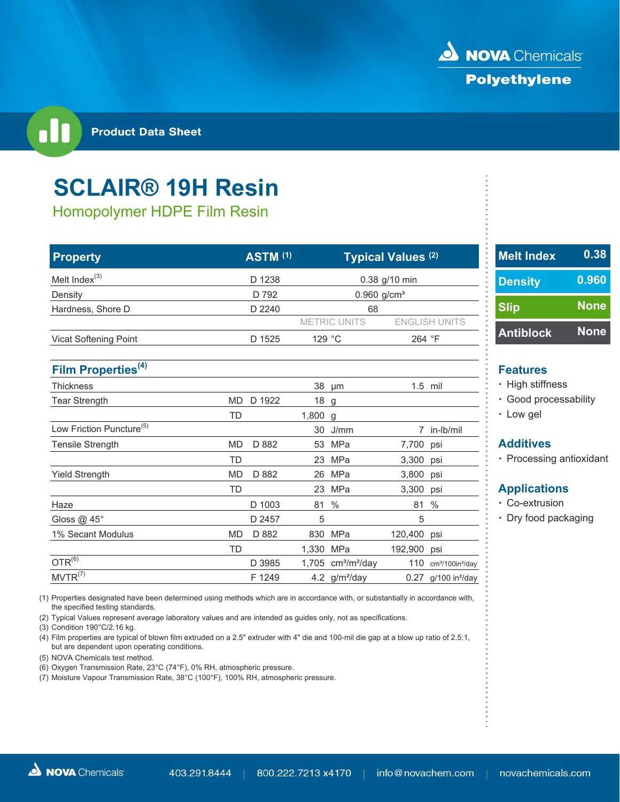

**Product Data Sheet** 

## **SCLAIR® 19H Resin**

Homopolymer HDPE Film Resin

| <b>Property</b>                      |              | <b>ASTM (1)</b> |           |                     | Typical Values <sup>(2)</sup> |                                          | <b>Melt Index</b>  |
|--------------------------------------|--------------|-----------------|-----------|---------------------|-------------------------------|------------------------------------------|--------------------|
| Melt Index <sup>(3)</sup>            |              | D 1238          |           | 0.38 g/10 min       |                               |                                          | <b>Density</b>     |
| Density                              |              | D 792           |           |                     | $0.960$ g/cm <sup>3</sup>     |                                          |                    |
| Hardness, Shore D                    | D 2240<br>68 |                 |           |                     | <b>Slip</b>                   |                                          |                    |
|                                      |              |                 |           | <b>METRIC UNITS</b> |                               | <b>ENGLISH UNITS</b>                     |                    |
| <b>Vicat Softening Point</b>         |              | D 1525          |           | 129 °C              | 264 °F                        |                                          | <b>Antiblock</b>   |
| Film Properties <sup>(4)</sup>       |              |                 |           |                     |                               |                                          | <b>Features</b>    |
| <b>Thickness</b>                     |              |                 |           | 38 µm               | $1.5$ mil                     |                                          | · High stiffn      |
| <b>Tear Strength</b>                 | <b>MD</b>    | D 1922          | 18 g      |                     |                               |                                          | · Good pro         |
|                                      | <b>TD</b>    |                 | 1,800 g   |                     |                               |                                          | • Low gel          |
| Low Friction Puncture <sup>(5)</sup> |              |                 |           | 30 J/mm             |                               | 7 in-lb/mil                              |                    |
| Tensile Strength                     | <b>MD</b>    | D 882           |           | 53 MPa              | 7,700 psi                     |                                          | <b>Additives</b>   |
|                                      | <b>TD</b>    |                 | 23        | MPa                 | 3,300                         | psi                                      | · Processin        |
| <b>Yield Strength</b>                | <b>MD</b>    | D 882           | 26        | MPa                 | 3,800                         | psi                                      |                    |
|                                      | TD           |                 |           | 23 MPa              | 3,300                         | psi                                      | <b>Application</b> |
| Haze                                 |              | D 1003          | 81        | $\%$                | 81                            | $\%$                                     | • Co-extrus        |
| Gloss @ 45°                          |              | D 2457          | 5         |                     | 5                             |                                          | • Dry food p       |
| 1% Secant Modulus                    | <b>MD</b>    | D 882           |           | 830 MPa             | 120,400                       | psi                                      |                    |
|                                      | <b>TD</b>    |                 | 1,330 MPa |                     | 192,900                       | psi                                      |                    |
| $OTR^{(6)}$                          |              | D 3985          |           | 1,705 $cm3/m2/day$  | 110                           | cm <sup>3</sup> /100in <sup>2</sup> /day |                    |
| MVTR <sup>(7)</sup>                  |              | F 1249          |           | 4.2 $g/m^2$ /day    |                               | $0.27$ g/100 in <sup>2</sup> /day        |                    |

(1) Properties designated have been determined using methods which are in accordance with, or substantially in accordance with, the specified testing standards.

(2) Typical Values represent average laboratory values and are intended as guides only, not as specifications.

(3) Condition 190°C/2.16 kg.

(4) Film properties are typical of blown film extruded on a 2.5" extruder with 4" die and 100-mil die gap at a blow up ratio of 2.5:1, but are dependent upon operating conditions.

(5) NOVA Chemicals test method.

(6) Oxygen Transmission Rate, 23°C (74°F), 0% RH, atmospheric pressure.

(7) Moisture Vapour Transmission Rate, 38°C (100°F), 100% RH, atmospheric pressure.

| <b>Melt Index</b> | 0.38        |
|-------------------|-------------|
| <b>Density</b>    | 0.960       |
| <b>Slip</b>       | <b>None</b> |
| <b>Antiblock</b>  | <b>None</b> |

- High stiffness
- $\cdot$  Good processability
- Low gel

• Processing antioxidant

### **Applications**

- $\cdot$  Co-extrusion
- Dry food packaging

|  |  | <b>NOVA</b> Chemicals |
|--|--|-----------------------|
|--|--|-----------------------|